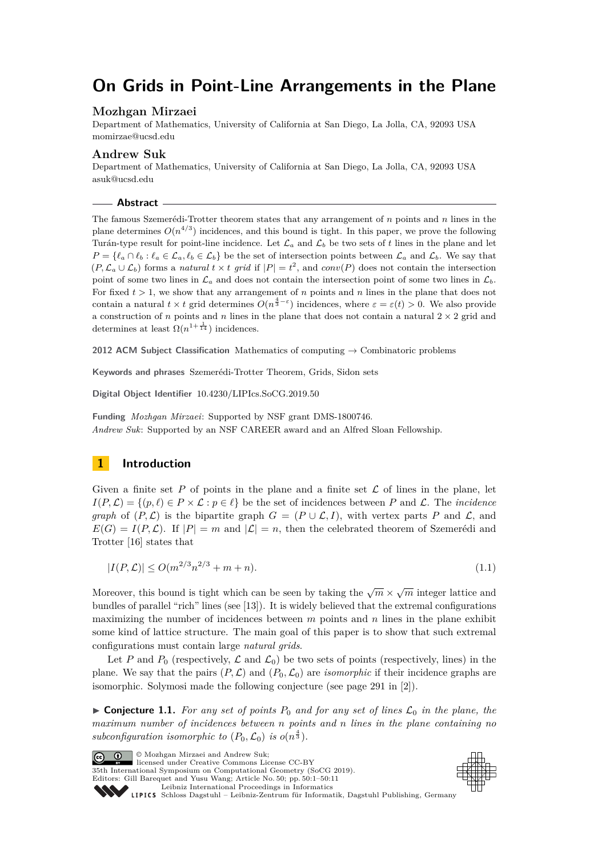# **On Grids in Point-Line Arrangements in the Plane**

# **Mozhgan Mirzaei**

Department of Mathematics, University of California at San Diego, La Jolla, CA, 92093 USA [momirzae@ucsd.edu](mailto:momirzae@ucsd.edu)

## **Andrew Suk**

Department of Mathematics, University of California at San Diego, La Jolla, CA, 92093 USA [asuk@ucsd.edu](mailto:asuk@ucsd.edu)

**Abstract**

The famous Szemerédi-Trotter theorem states that any arrangement of *n* points and *n* lines in the plane determines  $O(n^{4/3})$  incidences, and this bound is tight. In this paper, we prove the following Turán-type result for point-line incidence. Let  $\mathcal{L}_a$  and  $\mathcal{L}_b$  be two sets of t lines in the plane and let  $P = \{\ell_a \cap \ell_b : \ell_a \in \mathcal{L}_a, \ell_b \in \mathcal{L}_b\}$  be the set of intersection points between  $\mathcal{L}_a$  and  $\mathcal{L}_b$ . We say that  $(P, \mathcal{L}_a \cup \mathcal{L}_b)$  forms a *natural*  $t \times t$  grid if  $|P| = t^2$ , and  $conv(P)$  does not contain the intersection point of some two lines in  $\mathcal{L}_a$  and does not contain the intersection point of some two lines in  $\mathcal{L}_b$ . For fixed  $t > 1$ , we show that any arrangement of *n* points and *n* lines in the plane that does not contain a natural  $t \times t$  grid determines  $O(n^{\frac{4}{3}-\varepsilon})$  incidences, where  $\varepsilon = \varepsilon(t) > 0$ . We also provide a construction of *n* points and *n* lines in the plane that does not contain a natural  $2 \times 2$  grid and determines at least  $\Omega(n^{1+\frac{1}{14}})$  incidences.

**2012 ACM Subject Classification** Mathematics of computing → Combinatoric problems

**Keywords and phrases** Szemerédi-Trotter Theorem, Grids, Sidon sets

**Digital Object Identifier** [10.4230/LIPIcs.SoCG.2019.50](https://doi.org/10.4230/LIPIcs.SoCG.2019.50)

**Funding** *Mozhgan Mirzaei*: Supported by NSF grant DMS-1800746. *Andrew Suk*: Supported by an NSF CAREER award and an Alfred Sloan Fellowship.

# **1 Introduction**

Given a finite set  $P$  of points in the plane and a finite set  $\mathcal L$  of lines in the plane, let  $I(P, \mathcal{L}) = \{(p, \ell) \in P \times \mathcal{L} : p \in \ell\}$  be the set of incidences between *P* and  $\mathcal{L}$ . The *incidence graph* of  $(P, \mathcal{L})$  is the bipartite graph  $G = (P \cup \mathcal{L}, I)$ , with vertex parts P and  $\mathcal{L}$ , and  $E(G) = I(P, \mathcal{L})$ . If  $|P| = m$  and  $|\mathcal{L}| = n$ , then the celebrated theorem of Szemerédi and Trotter [\[16\]](#page-10-0) states that

<span id="page-0-0"></span>
$$
|I(P,\mathcal{L})| \le O(m^{2/3}n^{2/3} + m + n). \tag{1.1}
$$

Moreover, this bound is tight which can be seen by taking the  $\sqrt{m} \times \sqrt{m}$  integer lattice and bundles of parallel "rich" lines (see [\[13\]](#page-10-1)). It is widely believed that the extremal configurations maximizing the number of incidences between *m* points and *n* lines in the plane exhibit some kind of lattice structure. The main goal of this paper is to show that such extremal configurations must contain large *natural grids*.

Let P and  $P_0$  (respectively,  $\mathcal L$  and  $\mathcal L_0$ ) be two sets of points (respectively, lines) in the plane. We say that the pairs  $(P, \mathcal{L})$  and  $(P_0, \mathcal{L}_0)$  are *isomorphic* if their incidence graphs are isomorphic. Solymosi made the following conjecture (see page 291 in [\[2\]](#page-9-0)).

 $\triangleright$  **Conjecture 1.1.** For any set of points  $P_0$  and for any set of lines  $\mathcal{L}_0$  in the plane, the *maximum number of incidences between n points and n lines in the plane containing no* subconfiguration isomorphic to  $(P_0, \mathcal{L}_0)$  is  $o(n^{\frac{4}{3}})$ .

**C**  $\bullet$   $\bullet$  Mozhgan Mirzaei and Andrew Suk: licensed under Creative Commons License CC-BY 35th International Symposium on Computational Geometry (SoCG 2019). Editors: Gill Barequet and Yusu Wang; Article No. 50; pp. 50:1–50[:11](#page-10-2) [Leibniz International Proceedings in Informatics](https://www.dagstuhl.de/lipics/) [Schloss Dagstuhl – Leibniz-Zentrum für Informatik, Dagstuhl Publishing, Germany](https://www.dagstuhl.de)

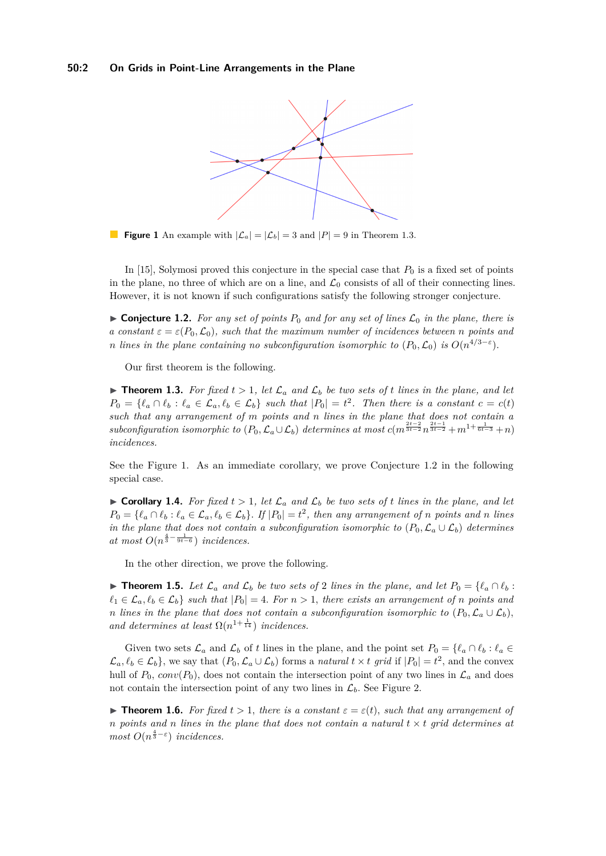<span id="page-1-1"></span>

**Figure 1** An example with  $|\mathcal{L}_a| = |\mathcal{L}_b| = 3$  and  $|P| = 9$  in Theorem [1.3.](#page-1-0)

In  $[15]$ , Solymosi proved this conjecture in the special case that  $P_0$  is a fixed set of points in the plane, no three of which are on a line, and  $\mathcal{L}_0$  consists of all of their connecting lines. However, it is not known if such configurations satisfy the following stronger conjecture.

<span id="page-1-2"></span> $\triangleright$  **Conjecture 1.2.** For any set of points  $P_0$  and for any set of lines  $\mathcal{L}_0$  in the plane, there is *a constant*  $\varepsilon = \varepsilon(P_0, \mathcal{L}_0)$ *, such that the maximum number of incidences between n points and n lines in the plane containing no subconfiguration isomorphic to*  $(P_0, \mathcal{L}_0)$  *is*  $O(n^{4/3-\varepsilon})$ *.* 

Our first theorem is the following.

<span id="page-1-0"></span>**Findmark 1.3.** For fixed  $t > 1$ , let  $\mathcal{L}_a$  and  $\mathcal{L}_b$  be two sets of *t* lines in the plane, and let  $P_0 = \{\ell_a \cap \ell_b : \ell_a \in \mathcal{L}_a, \ell_b \in \mathcal{L}_b\}$  such that  $|P_0| = t^2$ . Then there is a constant  $c = c(t)$ *such that any arrangement of m points and n lines in the plane that does not contain a*  $subconfiguration$  *isomorphic to*  $(P_0, \mathcal{L}_a \cup \mathcal{L}_b)$  *determines at most*  $c(m^{\frac{2t-2}{3t-2}}n^{\frac{2t-1}{3t-2}} + m^{1+\frac{1}{6t-3}} + n)$ *incidences.*

See the Figure [1.](#page-1-1) As an immediate corollary, we prove Conjecture [1.2](#page-1-2) in the following special case.

<span id="page-1-4"></span> $\triangleright$  **Corollary 1.4.** For fixed  $t > 1$ , let  $\mathcal{L}_a$  and  $\mathcal{L}_b$  be two sets of *t* lines in the plane, and let  $P_0 = \{\ell_a \cap \ell_b : \ell_a \in \mathcal{L}_a, \ell_b \in \mathcal{L}_b\}.$  If  $|P_0| = t^2$ , then any arrangement of n points and n lines *in the plane that does not contain a subconfiguration isomorphic to*  $(P_0, \mathcal{L}_a \cup \mathcal{L}_b)$  *determines*  $at most O(n^{\frac{4}{3}-\frac{1}{9t-6}})$  *incidences.* 

In the other direction, we prove the following.

<span id="page-1-5"></span>▶ **Theorem 1.5.** *Let*  $\mathcal{L}_a$  *and*  $\mathcal{L}_b$  *be two sets of* 2 *lines in the plane, and let*  $P_0 = \{ \ell_a \cap \ell_b :$  $\ell_1 \in \mathcal{L}_a, \ell_b \in \mathcal{L}_b$  *such that*  $|P_0| = 4$ *. For*  $n > 1$ *, there exists an arrangement of n points and n* lines in the plane that does not contain a subconfiguration isomorphic to  $(P_0, \mathcal{L}_a \cup \mathcal{L}_b)$ , and determines at least  $\Omega(n^{1+\frac{1}{14}})$  *incidences.* 

Given two sets  $\mathcal{L}_a$  and  $\mathcal{L}_b$  of *t* lines in the plane, and the point set  $P_0 = \{ \ell_a \cap \ell_b : \ell_a \in \mathcal{L}_b \}$  $\mathcal{L}_a, \ell_b \in \mathcal{L}_b$ , we say that  $(P_0, \mathcal{L}_a \cup \mathcal{L}_b)$  forms a *natural*  $t \times t$  *grid* if  $|P_0| = t^2$ , and the convex hull of  $P_0$ , conv $(P_0)$ , does not contain the intersection point of any two lines in  $\mathcal{L}_a$  and does not contain the intersection point of any two lines in  $\mathcal{L}_b$ . See Figure [2.](#page-2-0)

<span id="page-1-3"></span>**Figure 1.6.** *For fixed*  $t > 1$ *, there is a constant*  $\varepsilon = \varepsilon(t)$ *, such that any arrangement of n* points and *n* lines in the plane that does not contain a natural  $t \times t$  grid determines at *most*  $O(n^{\frac{4}{3} - \varepsilon})$  *incidences.*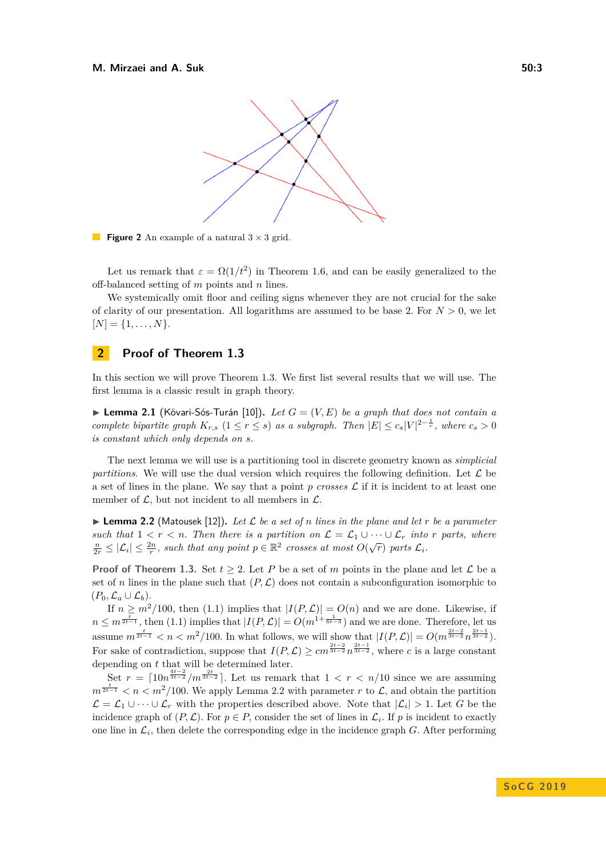<span id="page-2-0"></span>

**Figure 2** An example of a natural  $3 \times 3$  grid.

Let us remark that  $\varepsilon = \Omega(1/t^2)$  in Theorem [1.6,](#page-1-3) and can be easily generalized to the off-balanced setting of *m* points and *n* lines.

We systemically omit floor and ceiling signs whenever they are not crucial for the sake of clarity of our presentation. All logarithms are assumed to be base 2. For  $N > 0$ , we let  $[N] = \{1, \ldots, N\}.$ 

# **2 Proof of Theorem [1.3](#page-1-0)**

In this section we will prove Theorem [1.3.](#page-1-0) We first list several results that we will use. The first lemma is a classic result in graph theory.

<span id="page-2-2"></span> $\blacktriangleright$  **Lemma 2.1** (Kövari-Sós-Turán [\[10\]](#page-9-1)). *Let*  $G = (V, E)$  *be a graph that does not contain a complete bipartite graph*  $K_{r,s}$   $(1 \leq r \leq s)$  *as a subgraph. Then*  $|E| \leq c_s |V|^{2-\frac{1}{r}}$ , where  $c_s > 0$ *is constant which only depends on s.*

The next lemma we will use is a partitioning tool in discrete geometry known as *simplicial partitions*. We will use the dual version which requires the following definition. Let  $\mathcal{L}$  be a set of lines in the plane. We say that a point *p crosses* L if it is incident to at least one member of  $\mathcal{L}$ , but not incident to all members in  $\mathcal{L}$ .

<span id="page-2-1"></span> $\blacktriangleright$  **Lemma 2.2** (Matousek [\[12\]](#page-9-2)). Let L be a set of *n* lines in the plane and let *r* be a parameter *such that*  $1 < r < n$ . Then there is a partition on  $\mathcal{L} = \mathcal{L}_1 \cup \cdots \cup \mathcal{L}_r$  into *r* parts, where  $\frac{n}{2r} \leq |\mathcal{L}_i| \leq \frac{2n}{r}$ , such that any point  $p \in \mathbb{R}^2$  crosses at most  $O(\sqrt{r})$  parts  $\mathcal{L}_i$ .

**Proof of Theorem [1.3.](#page-1-0)** Set  $t \geq 2$ . Let P be a set of m points in the plane and let L be a set of *n* lines in the plane such that  $(P, \mathcal{L})$  does not contain a subconfiguration isomorphic to  $(P_0, \mathcal{L}_a \cup \mathcal{L}_b).$ 

If  $n \geq m^2/100$ , then [\(1.1\)](#page-0-0) implies that  $|I(P, \mathcal{L})| = O(n)$  and we are done. Likewise, if  $n \leq m^{\frac{t}{2t-1}}$ , then [\(1.1\)](#page-0-0) implies that  $|I(P, \mathcal{L})| = O(m^{1+\frac{1}{6t-3}})$  and we are done. Therefore, let us assume  $m^{\frac{t}{2t-1}} < n < m^2/100$ . In what follows, we will show that  $|I(P, \mathcal{L})| = O(m^{\frac{2t-2}{3t-2}} n^{\frac{2t-1}{3t-2}})$ . For sake of contradiction, suppose that  $I(P, \mathcal{L}) \ge cm^{\frac{2t-2}{3t-2}} n^{\frac{2t-1}{3t-2}}$ , where *c* is a large constant depending on *t* that will be determined later.

Set  $r = \left[10n^{\frac{4t-2}{3t-2}}/m^{\frac{2t}{3t-2}}\right]$ . Let us remark that  $1 < r < n/10$  since we are assuming  $m^{\frac{t}{2t-1}} < n < m^2/100$ . We apply Lemma [2.2](#page-2-1) with parameter *r* to *L*, and obtain the partition  $\mathcal{L} = \mathcal{L}_1 \cup \cdots \cup \mathcal{L}_r$  with the properties described above. Note that  $|\mathcal{L}_i| > 1$ . Let *G* be the incidence graph of  $(P, \mathcal{L})$ . For  $p \in P$ , consider the set of lines in  $\mathcal{L}_i$ . If p is incident to exactly one line in  $\mathcal{L}_i$ , then delete the corresponding edge in the incidence graph  $G$ . After performing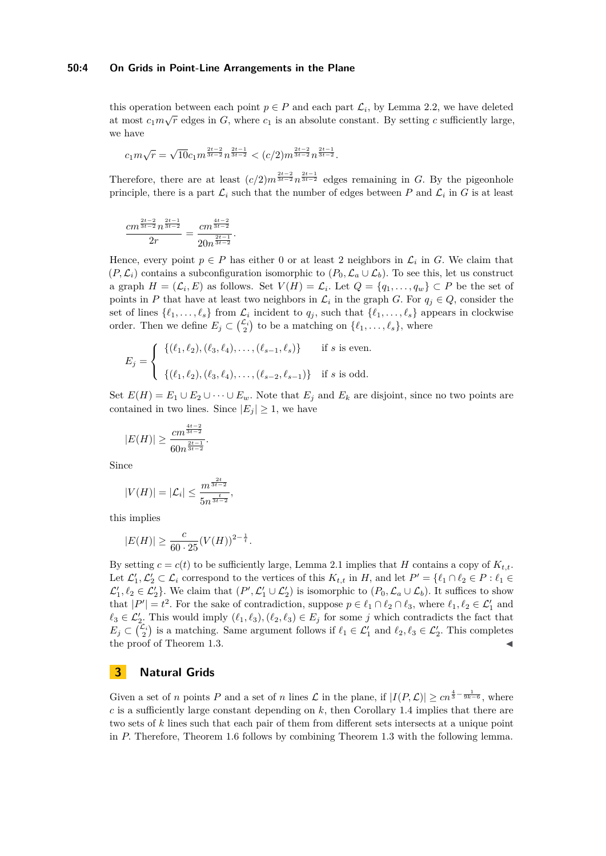#### **50:4 On Grids in Point-Line Arrangements in the Plane**

this operation between each point  $p \in P$  and each part  $\mathcal{L}_i$ , by Lemma [2.2,](#page-2-1) we have deleted at most  $c_1m\sqrt{r}$  edges in *G*, where  $c_1$  is an absolute constant. By setting *c* sufficiently large, we have

$$
c_1 m \sqrt{r} = \sqrt{10} c_1 m^{\frac{2t-2}{3t-2}} n^{\frac{2t-1}{3t-2}} < (c/2) m^{\frac{2t-2}{3t-2}} n^{\frac{2t-1}{3t-2}}.
$$

*.*

Therefore, there are at least  $(c/2)m^{\frac{2t-2}{3t-2}}n^{\frac{2t-1}{3t-2}}$  edges remaining in *G*. By the pigeonhole principle, there is a part  $\mathcal{L}_i$  such that the number of edges between  $P$  and  $\mathcal{L}_i$  in  $G$  is at least

$$
\frac{cm^{\frac{2t-2}{3t-2}}n^{\frac{2t-1}{3t-2}}}{2r} = \frac{cm^{\frac{4t-2}{3t-2}}}{20n^{\frac{2t-1}{3t-2}}}
$$

Hence, every point  $p \in P$  has either 0 or at least 2 neighbors in  $\mathcal{L}_i$  in G. We claim that  $(P, \mathcal{L}_i)$  contains a subconfiguration isomorphic to  $(P_0, \mathcal{L}_a \cup \mathcal{L}_b)$ . To see this, let us construct a graph  $H = (\mathcal{L}_i, E)$  as follows. Set  $V(H) = \mathcal{L}_i$ . Let  $Q = \{q_1, \ldots, q_w\} \subset P$  be the set of points in *P* that have at least two neighbors in  $\mathcal{L}_i$  in the graph *G*. For  $q_j \in Q$ , consider the set of lines  $\{\ell_1, \ldots, \ell_s\}$  from  $\mathcal{L}_i$  incident to  $q_j$ , such that  $\{\ell_1, \ldots, \ell_s\}$  appears in clockwise order. Then we define  $E_j \subset \binom{\mathcal{L}_i}{2}$  to be a matching on  $\{\ell_1, \ldots, \ell_s\}$ , where

$$
E_j = \begin{cases} \{(\ell_1, \ell_2), (\ell_3, \ell_4), \dots, (\ell_{s-1}, \ell_s)\} & \text{if } s \text{ is even.} \\ \{(\ell_1, \ell_2), (\ell_3, \ell_4), \dots, (\ell_{s-2}, \ell_{s-1})\} & \text{if } s \text{ is odd.} \end{cases}
$$

Set  $E(H) = E_1 \cup E_2 \cup \cdots \cup E_w$ . Note that  $E_j$  and  $E_k$  are disjoint, since no two points are contained in two lines. Since  $|E_j| \geq 1$ , we have

$$
|E(H)| \geq \frac{cm^{\frac{4t-2}{3t-2}}}{60n^{\frac{2t-1}{3t-2}}}.
$$

Since

$$
|V(H)| = |\mathcal{L}_i| \le \frac{m^{\frac{2t}{3t-2}}}{5n^{\frac{t}{3t-2}}},
$$

this implies

$$
|E(H)| \ge \frac{c}{60 \cdot 25} (V(H))^{2 - \frac{1}{t}}.
$$

By setting  $c = c(t)$  to be sufficiently large, Lemma [2.1](#page-2-2) implies that *H* contains a copy of  $K_{t,t}$ . Let  $\mathcal{L}'_1, \mathcal{L}'_2 \subset \mathcal{L}_i$  correspond to the vertices of this  $K_{t,t}$  in  $H$ , and let  $P' = \{\ell_1 \cap \ell_2 \in P : \ell_1 \in$  $\mathcal{L}'_1, \ell_2 \in \mathcal{L}'_2$ . We claim that  $(P', \mathcal{L}'_1 \cup \mathcal{L}'_2)$  is isomorphic to  $(P_0, \mathcal{L}_a \cup \mathcal{L}_b)$ . It suffices to show that  $|P'| = t^2$ . For the sake of contradiction, suppose  $p \in \ell_1 \cap \ell_2 \cap \ell_3$ , where  $\ell_1, \ell_2 \in \mathcal{L}'_1$  and  $\ell_3 \in \mathcal{L}'_2$ . This would imply  $(\ell_1, \ell_3), (\ell_2, \ell_3) \in E_j$  for some *j* which contradicts the fact that  $E_j \subset \binom{\mathcal{L}_i}{2}$  is a matching. Same argument follows if  $\ell_1 \in \mathcal{L}'_1$  and  $\ell_2, \ell_3 \in \mathcal{L}'_2$ . This completes the proof of Theorem [1.3.](#page-1-0)

# **3 Natural Grids**

Given a set of *n* points *P* and a set of *n* lines  $\mathcal L$  in the plane, if  $|I(P,\mathcal L)| \geq cn^{\frac{4}{3} - \frac{1}{9k-6}}$ , where *c* is a sufficiently large constant depending on *k,* then Corollary [1.4](#page-1-4) implies that there are two sets of *k* lines such that each pair of them from different sets intersects at a unique point in *P.* Therefore, Theorem [1.6](#page-1-3) follows by combining Theorem [1.3](#page-1-0) with the following lemma.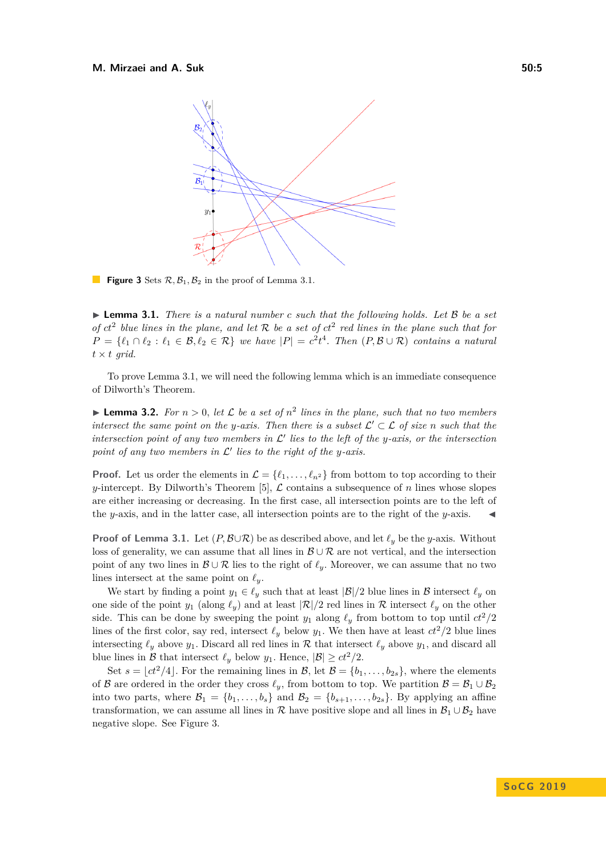<span id="page-4-1"></span>

**Figure 3** Sets  $\mathcal{R}, \mathcal{B}_1, \mathcal{B}_2$  in the proof of Lemma [3.1.](#page-4-0)

<span id="page-4-0"></span>► **Lemma 3.1.** *There is a natural number c such that the following holds. Let* B *be a set of*  $ct^2$  blue lines in the plane, and let R be a set of  $ct^2$  red lines in the plane such that for  $P = \{\ell_1 \cap \ell_2 : \ell_1 \in \mathcal{B}, \ell_2 \in \mathcal{R}\}$  *we have*  $|P| = c^2 t^4$ . *Then*  $(P, \mathcal{B} \cup \mathcal{R})$  *contains a natural*  $t \times t$  *grid.* 

To prove Lemma [3.1,](#page-4-0) we will need the following lemma which is an immediate consequence of Dilworth's Theorem.

<span id="page-4-2"></span>**Lemma 3.2.** For  $n > 0$ , let L be a set of  $n^2$  lines in the plane, such that no two members *intersect the same point on the y-axis. Then there is a subset*  $\mathcal{L}' \subset \mathcal{L}$  *of size n such that the* intersection point of any two members in  $\mathcal{L}'$  lies to the left of the *y*-axis, or the intersection point of any two members in  $\mathcal{L}'$  lies to the right of the y-axis.

**Proof.** Let us order the elements in  $\mathcal{L} = {\ell_1, \ldots, \ell_{n^2}}$  from bottom to top according to their *y*-intercept. By Dilworth's Theorem [\[5\]](#page-9-3),  $\mathcal{L}$  contains a subsequence of *n* lines whose slopes are either increasing or decreasing. In the first case, all intersection points are to the left of the *y*-axis, and in the latter case, all intersection points are to the right of the *y*-axis.

**Proof of Lemma [3.1.](#page-4-0)** Let  $(P, B \cup \mathcal{R})$  be as described above, and let  $\ell_y$  be the *y*-axis. Without loss of generality, we can assume that all lines in  $\mathcal{B} \cup \mathcal{R}$  are not vertical, and the intersection point of any two lines in  $\mathcal{B} \cup \mathcal{R}$  lies to the right of  $\ell_y$ . Moreover, we can assume that no two lines intersect at the same point on  $\ell_y$ .

We start by finding a point  $y_1 \in \ell_y$  such that at least  $|\mathcal{B}|/2$  blue lines in  $\mathcal B$  intersect  $\ell_y$  on one side of the point  $y_1$  (along  $\ell_y$ ) and at least  $|\mathcal{R}|/2$  red lines in  $\mathcal R$  intersect  $\ell_y$  on the other side. This can be done by sweeping the point  $y_1$  along  $\ell_y$  from bottom to top until  $ct^2/2$ lines of the first color, say red, intersect  $\ell_y$  below  $y_1$ . We then have at least  $ct^2/2$  blue lines intersecting  $\ell_y$  above  $y_1$ . Discard all red lines in R that intersect  $\ell_y$  above  $y_1$ , and discard all blue lines in  $\mathcal{B}$  that intersect  $\ell_y$  below  $y_1$ . Hence,  $|\mathcal{B}| \ge ct^2/2$ .

Set  $s = \lfloor ct^2/4 \rfloor$ . For the remaining lines in  $\mathcal{B}$ , let  $\mathcal{B} = \{b_1, \ldots, b_{2s}\}$ , where the elements of B are ordered in the order they cross  $\ell_y$ , from bottom to top. We partition  $\mathcal{B} = \mathcal{B}_1 \cup \mathcal{B}_2$ into two parts, where  $\mathcal{B}_1 = \{b_1, \ldots, b_s\}$  and  $\mathcal{B}_2 = \{b_{s+1}, \ldots, b_{2s}\}$ . By applying an affine transformation, we can assume all lines in  $\mathcal R$  have positive slope and all lines in  $\mathcal B_1 \cup \mathcal B_2$  have negative slope. See Figure [3.](#page-4-1)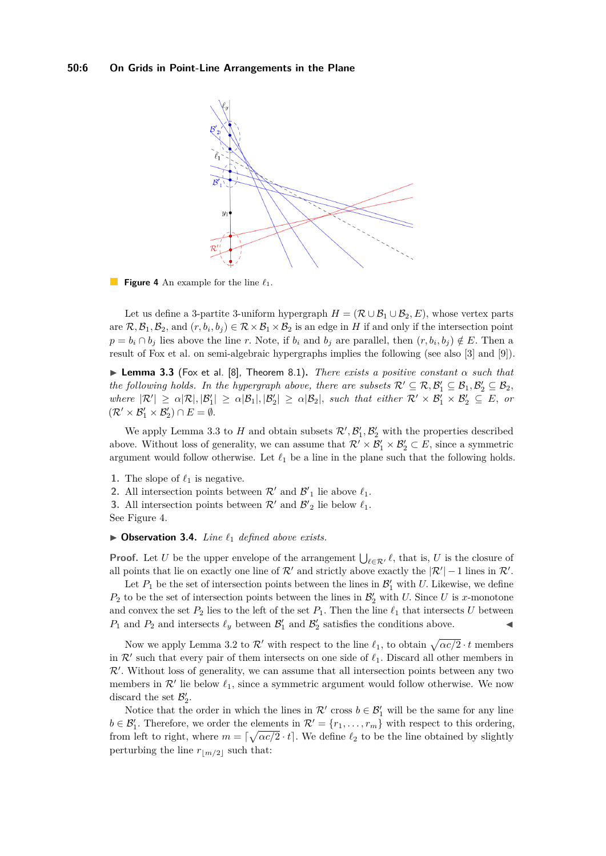<span id="page-5-1"></span>

**Figure 4** An example for the line  $\ell_1$ .

Let us define a 3-partite 3-uniform hypergraph  $H = (\mathcal{R} \cup \mathcal{B}_1 \cup \mathcal{B}_2, E)$ , whose vertex parts are  $\mathcal{R}, \mathcal{B}_1, \mathcal{B}_2$ , and  $(r, b_i, b_j) \in \mathcal{R} \times \mathcal{B}_1 \times \mathcal{B}_2$  is an edge in *H* if and only if the intersection point  $p = b_i \cap b_j$  lies above the line *r*. Note, if  $b_i$  and  $b_j$  are parallel, then  $(r, b_i, b_j) \notin E$ . Then a result of Fox et al. on semi-algebraic hypergraphs implies the following (see also [\[3\]](#page-9-4) and [\[9\]](#page-9-5)).

<span id="page-5-0"></span>**Lemma 3.3** (Fox et al. [\[8\]](#page-9-6), Theorem 8.1). *There exists a positive constant*  $\alpha$  *such that the following holds. In the hypergraph above, there are subsets*  $\mathcal{R}' \subseteq \mathcal{R}, \mathcal{B}'_1 \subseteq \mathcal{B}_1, \mathcal{B}'_2 \subseteq \mathcal{B}_2$ ,  $where \ |\mathcal{R}'| \geq \alpha |\mathcal{R}|, |\mathcal{B}'_1| \geq \alpha |\mathcal{B}_1|, |\mathcal{B}'_2| \geq \alpha |\mathcal{B}_2|, \text{ such that either } \mathcal{R}' \times \mathcal{B}'_1 \times \mathcal{B}'_2 \subseteq E, \text{ or }$  $(\mathcal{R}' \times \mathcal{B}'_1 \times \mathcal{B}'_2) \cap E = \emptyset.$ 

We apply Lemma [3.3](#page-5-0) to *H* and obtain subsets  $\mathcal{R}', \mathcal{B}'_1, \mathcal{B}'_2$  with the properties described above. Without loss of generality, we can assume that  $\mathcal{R}' \times \mathcal{B}'_1 \times \mathcal{B}'_2 \subset E$ , since a symmetric argument would follow otherwise. Let  $\ell_1$  be a line in the plane such that the following holds.

- **1.** The slope of  $\ell_1$  is negative.
- **2.** All intersection points between  $\mathcal{R}'$  and  $\mathcal{B}'_1$  lie above  $\ell_1$ .
- **3.** All intersection points between  $\mathcal{R}'$  and  $\mathcal{B}'_2$  lie below  $\ell_1$ . See Figure [4.](#page-5-1)

## ▶ Observation 3.4. *Line*  $\ell_1$  *defined above exists.*

**Proof.** Let *U* be the upper envelope of the arrangement  $\bigcup_{\ell \in \mathcal{R}'} \ell$ , that is, *U* is the closure of all points that lie on exactly one line of  $\mathcal{R}'$  and strictly above exactly the  $|\mathcal{R}'| - 1$  lines in  $\mathcal{R}'$ .

Let  $P_1$  be the set of intersection points between the lines in  $\mathcal{B}'_1$  with *U*. Likewise, we define  $P_2$  to be the set of intersection points between the lines in  $\mathcal{B}'_2$  with *U*. Since *U* is *x*-monotone and convex the set  $P_2$  lies to the left of the set  $P_1$ . Then the line  $\ell_1$  that intersects *U* between  $P_1$  and  $P_2$  and intersects  $\ell_y$  between  $\mathcal{B}'_1$  and  $\mathcal{B}'_2$  satisfies the conditions above.

Now we apply Lemma [3.2](#page-4-2) to  $\mathcal{R}'$  with respect to the line  $\ell_1$ , to obtain  $\sqrt{\alpha c/2} \cdot t$  members in  $\mathcal{R}'$  such that every pair of them intersects on one side of  $\ell_1$ . Discard all other members in  $R'$ . Without loss of generality, we can assume that all intersection points between any two members in  $\mathcal{R}'$  lie below  $\ell_1$ , since a symmetric argument would follow otherwise. We now discard the set  $\mathcal{B}'_2$ .

Notice that the order in which the lines in  $\mathcal{R}'$  cross  $b \in \mathcal{B}'_1$  will be the same for any line  $b \in \mathcal{B}'_1$ . Therefore, we order the elements in  $\mathcal{R}' = \{r_1, \ldots, r_m\}$  with respect to this ordering, from left to right, where  $m = \lceil \sqrt{\alpha c/2} \cdot t \rceil$ . We define  $\ell_2$  to be the line obtained by slightly perturbing the line  $r_{\lfloor m/2 \rfloor}$  such that: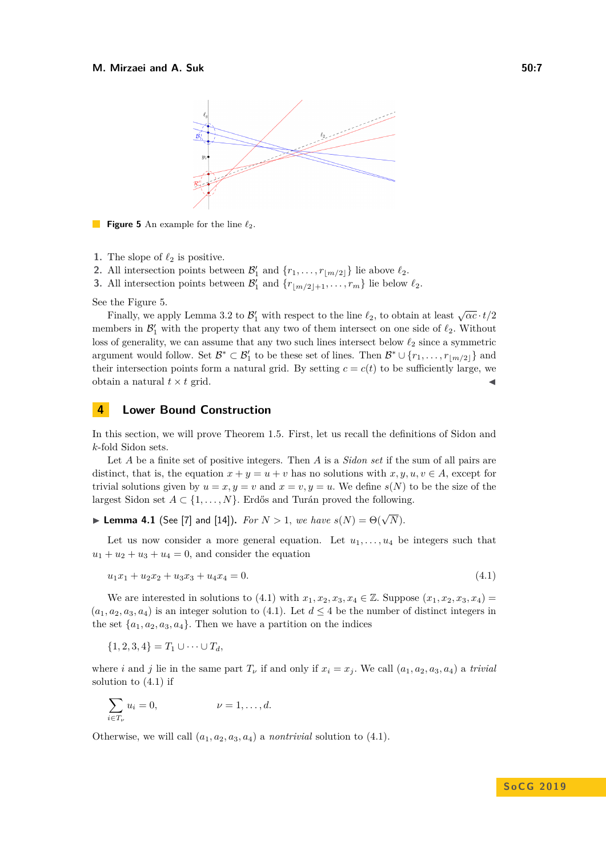<span id="page-6-0"></span>

**Figure 5** An example for the line  $\ell_2$ .

- **1.** The slope of  $\ell_2$  is positive.
- **2.** All intersection points between  $\mathcal{B}'_1$  and  $\{r_1, \ldots, r_{\lfloor m/2 \rfloor}\}\)$  lie above  $\ell_2$ .
- **3.** All intersection points between  $\mathcal{B}'_1$  and  $\{r_{\lfloor m/2 \rfloor + 1}, \ldots, r_m\}$  lie below  $\ell_2$ .

See the Figure [5.](#page-6-0)

Finally, we apply Lemma [3.2](#page-4-2) to  $\mathcal{B}'_1$  with respect to the line  $\ell_2$ , to obtain at least  $\sqrt{\alpha}c \cdot t/2$ members in  $\mathcal{B}'_1$  with the property that any two of them intersect on one side of  $\ell_2$ . Without loss of generality, we can assume that any two such lines intersect below  $\ell_2$  since a symmetric argument would follow. Set  $\mathcal{B}^* \subset \mathcal{B}'_1$  to be these set of lines. Then  $\mathcal{B}^* \cup \{r_1, \ldots, r_{\lfloor m/2 \rfloor}\}\$ and their intersection points form a natural grid. By setting  $c = c(t)$  to be sufficiently large, we obtain a natural  $t \times t$  grid.

## **4 Lower Bound Construction**

In this section, we will prove Theorem [1.5.](#page-1-5) First, let us recall the definitions of Sidon and *k*-fold Sidon sets.

Let *A* be a finite set of positive integers. Then *A* is a *Sidon set* if the sum of all pairs are distinct, that is, the equation  $x + y = u + v$  has no solutions with  $x, y, u, v \in A$ , except for trivial solutions given by  $u = x, y = v$  and  $x = v, y = u$ . We define  $s(N)$  to be the size of the largest Sidon set  $A \subset \{1, \ldots, N\}$ . Erdős and Turán proved the following.

<span id="page-6-2"></span>**Example 4.1** (See [\[7\]](#page-9-7) and [\[14\]](#page-10-4)). *For*  $N > 1$ , *we have*  $s(N) = \Theta(\sqrt{N})$ .

Let us now consider a more general equation. Let  $u_1, \ldots, u_4$  be integers such that  $u_1 + u_2 + u_3 + u_4 = 0$ , and consider the equation

<span id="page-6-1"></span>
$$
u_1x_1 + u_2x_2 + u_3x_3 + u_4x_4 = 0. \tag{4.1}
$$

We are interested in solutions to [\(4.1\)](#page-6-1) with  $x_1, x_2, x_3, x_4 \in \mathbb{Z}$ . Suppose  $(x_1, x_2, x_3, x_4)$  $(a_1, a_2, a_3, a_4)$  is an integer solution to [\(4.1\)](#page-6-1). Let  $d \leq 4$  be the number of distinct integers in the set  $\{a_1, a_2, a_3, a_4\}$ . Then we have a partition on the indices

 ${1, 2, 3, 4} = T_1 \cup \cdots \cup T_d$ 

where *i* and *j* lie in the same part  $T_{\nu}$  if and only if  $x_i = x_j$ . We call  $(a_1, a_2, a_3, a_4)$  a *trivial* solution to  $(4.1)$  if

$$
\sum_{i \in T_{\nu}} u_i = 0, \qquad \qquad \nu = 1, \dots, d.
$$

Otherwise, we will call  $(a_1, a_2, a_3, a_4)$  a *nontrivial* solution to  $(4.1)$ .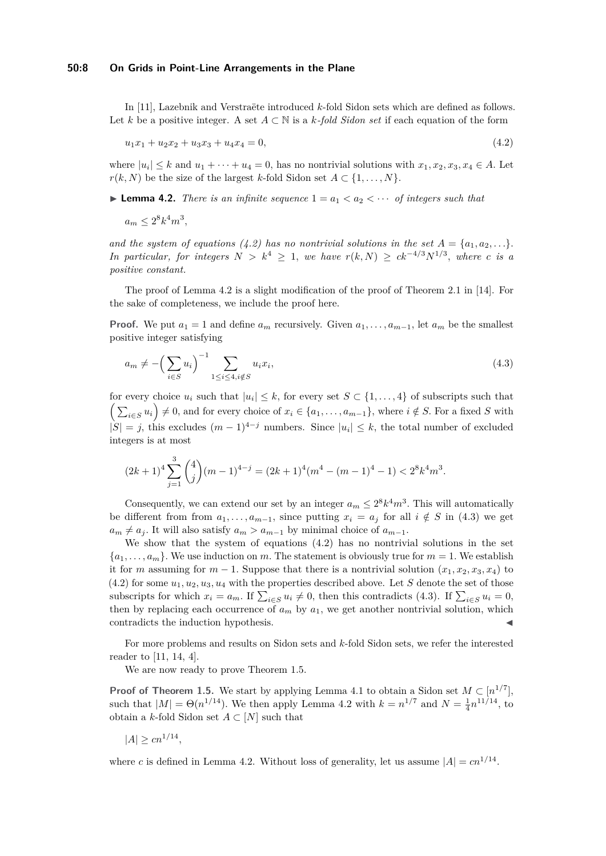#### **50:8 On Grids in Point-Line Arrangements in the Plane**

In [\[11\]](#page-9-8), Lazebnik and Verstraëte introduced *k*-fold Sidon sets which are defined as follows. Let *k* be a positive integer. A set *A* ⊂ N is a *k-fold Sidon set* if each equation of the form

<span id="page-7-0"></span>
$$
u_1x_1 + u_2x_2 + u_3x_3 + u_4x_4 = 0,\t\t(4.2)
$$

where  $|u_i| \leq k$  and  $u_1 + \cdots + u_4 = 0$ , has no nontrivial solutions with  $x_1, x_2, x_3, x_4 \in A$ . Let  $r(k, N)$  be the size of the largest *k*-fold Sidon set  $A \subset \{1, \ldots, N\}$ .

<span id="page-7-1"></span>**Lemma 4.2.** *There is an infinite sequence*  $1 = a_1 < a_2 < \cdots$  *of integers such that* 

 $a_m \leq 2^8 k^4 m^3$ ,

*and the system of equations [\(4.2\)](#page-7-0)* has no nontrivial solutions in the set  $A = \{a_1, a_2, \ldots\}$ . *In particular, for integers*  $N > k^4 \geq 1$ , *we have*  $r(k, N) \geq ck^{-4/3}N^{1/3}$ , *where c is a positive constant.*

The proof of Lemma [4.2](#page-7-1) is a slight modification of the proof of Theorem 2*.*1 in [\[14\]](#page-10-4). For the sake of completeness, we include the proof here.

**Proof.** We put  $a_1 = 1$  and define  $a_m$  recursively. Given  $a_1, \ldots, a_{m-1}$ , let  $a_m$  be the smallest positive integer satisfying

<span id="page-7-2"></span>
$$
a_m \neq -\left(\sum_{i \in S} u_i\right)^{-1} \sum_{1 \leq i \leq 4, i \notin S} u_i x_i,\tag{4.3}
$$

for every choice  $u_i$  such that  $|u_i| \leq k$ , for every set  $S \subset \{1, \ldots, 4\}$  of subscripts such that  $\left(\sum_{i\in S} u_i\right) \neq 0$ , and for every choice of  $x_i \in \{a_1, \ldots, a_{m-1}\}$ , where  $i \notin S$ . For a fixed *S* with  $|S| = j$ , this excludes  $(m-1)^{4-j}$  numbers. Since  $|u_i| \leq k$ , the total number of excluded integers is at most

$$
(2k+1)^4 \sum_{j=1}^3 {4 \choose j} (m-1)^{4-j} = (2k+1)^4 (m^4 - (m-1)^4 - 1) < 2^8 k^4 m^3.
$$

Consequently, we can extend our set by an integer  $a_m \leq 2^8 k^4 m^3$ . This will automatically be different from from  $a_1, \ldots, a_{m-1}$ , since putting  $x_i = a_j$  for all  $i \notin S$  in [\(4.3\)](#page-7-2) we get  $a_m \neq a_j$ . It will also satisfy  $a_m > a_{m-1}$  by minimal choice of  $a_{m-1}$ .

We show that the system of equations  $(4.2)$  has no nontrivial solutions in the set  ${a_1, \ldots, a_m}$ . We use induction on *m*. The statement is obviously true for  $m = 1$ . We establish it for *m* assuming for  $m-1$ . Suppose that there is a nontrivial solution  $(x_1, x_2, x_3, x_4)$  to  $(4.2)$  for some  $u_1, u_2, u_3, u_4$  with the properties described above. Let *S* denote the set of those subscripts for which  $x_i = a_m$ . If  $\sum_{i \in S} u_i \neq 0$ , then this contradicts [\(4.3\)](#page-7-2). If  $\sum_{i \in S} u_i = 0$ , then by replacing each occurrence of  $a_m$  by  $a_1$ , we get another nontrivial solution, which contradicts the induction hypothesis.

For more problems and results on Sidon sets and *k*-fold Sidon sets, we refer the interested reader to [\[11,](#page-9-8) [14,](#page-10-4) [4\]](#page-9-9).

We are now ready to prove Theorem [1.5.](#page-1-5)

**Proof of Theorem [1.5.](#page-1-5)** We start by applying Lemma [4.1](#page-6-2) to obtain a Sidon set  $M \subset [n^{1/7}]$ , such that  $|M| = \Theta(n^{1/14})$ . We then apply Lemma [4.2](#page-7-1) with  $k = n^{1/7}$  and  $N = \frac{1}{4}n^{11/14}$ , to obtain a *k*-fold Sidon set  $A \subset [N]$  such that

$$
|A| \ge cn^{1/14},
$$

where *c* is defined in Lemma [4.2.](#page-7-1) Without loss of generality, let us assume  $|A| = cn^{1/14}$ .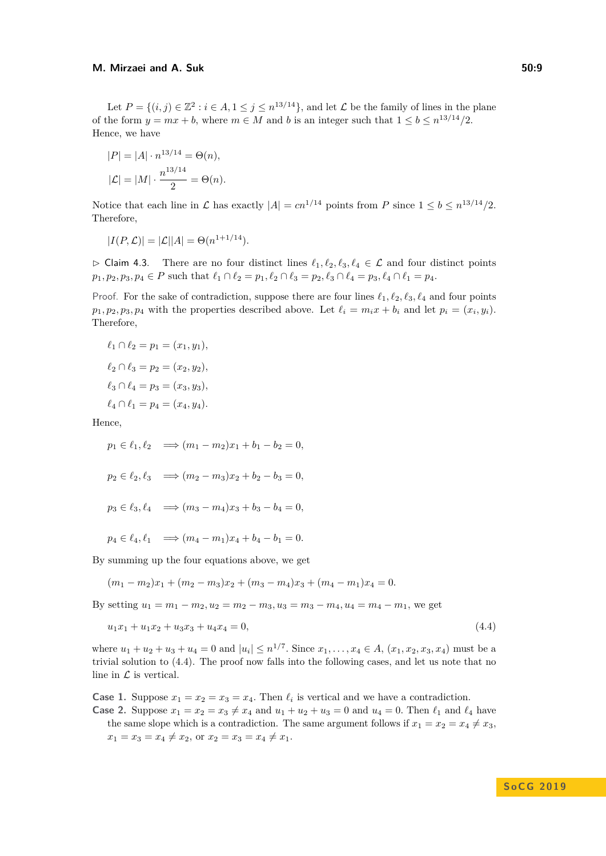### **M. Mirzaei and A. Suk 50:9**

Let  $P = \{(i, j) \in \mathbb{Z}^2 : i \in A, 1 \le j \le n^{13/14}\}$ , and let  $\mathcal L$  be the family of lines in the plane of the form  $y = mx + b$ , where  $m \in M$  and b is an integer such that  $1 \leq b \leq n^{13/14}/2$ . Hence, we have

$$
|P| = |A| \cdot n^{13/14} = \Theta(n),
$$
  

$$
|\mathcal{L}| = |M| \cdot \frac{n^{13/14}}{2} = \Theta(n).
$$

Notice that each line in  $\mathcal L$  has exactly  $|A| = cn^{1/14}$  points from  $P$  since  $1 \leq b \leq n^{13/14}/2$ . Therefore,

$$
|I(P, \mathcal{L})| = |\mathcal{L}||A| = \Theta(n^{1+1/14}).
$$

 $\triangleright$  Claim 4.3. There are no four distinct lines  $\ell_1, \ell_2, \ell_3, \ell_4 \in \mathcal{L}$  and four distinct points  $p_1, p_2, p_3, p_4 \in P$  such that  $\ell_1 \cap \ell_2 = p_1, \ell_2 \cap \ell_3 = p_2, \ell_3 \cap \ell_4 = p_3, \ell_4 \cap \ell_1 = p_4$ .

Proof. For the sake of contradiction, suppose there are four lines  $\ell_1, \ell_2, \ell_3, \ell_4$  and four points  $p_1, p_2, p_3, p_4$  with the properties described above. Let  $\ell_i = m_i x + b_i$  and let  $p_i = (x_i, y_i)$ . Therefore,

$$
\ell_1 \cap \ell_2 = p_1 = (x_1, y_1),
$$
  
\n
$$
\ell_2 \cap \ell_3 = p_2 = (x_2, y_2),
$$
  
\n
$$
\ell_3 \cap \ell_4 = p_3 = (x_3, y_3),
$$
  
\n
$$
\ell_4 \cap \ell_1 = p_4 = (x_4, y_4).
$$

Hence,

$$
p_1 \in \ell_1, \ell_2 \implies (m_1 - m_2)x_1 + b_1 - b_2 = 0,
$$
  
\n
$$
p_2 \in \ell_2, \ell_3 \implies (m_2 - m_3)x_2 + b_2 - b_3 = 0,
$$
  
\n
$$
p_3 \in \ell_3, \ell_4 \implies (m_3 - m_4)x_3 + b_3 - b_4 = 0,
$$

 $p_4 \in \ell_4, \ell_1 \implies (m_4 - m_1)x_4 + b_4 - b_1 = 0.$ 

By summing up the four equations above, we get

<span id="page-8-0"></span>
$$
(m_1 - m_2)x_1 + (m_2 - m_3)x_2 + (m_3 - m_4)x_3 + (m_4 - m_1)x_4 = 0.
$$

By setting  $u_1 = m_1 - m_2, u_2 = m_2 - m_3, u_3 = m_3 - m_4, u_4 = m_4 - m_1$ , we get

$$
u_1x_1 + u_1x_2 + u_3x_3 + u_4x_4 = 0,\t\t(4.4)
$$

where  $u_1 + u_2 + u_3 + u_4 = 0$  and  $|u_i| \leq n^{1/7}$ . Since  $x_1, \ldots, x_4 \in A$ ,  $(x_1, x_2, x_3, x_4)$  must be a trivial solution to [\(4.4\)](#page-8-0). The proof now falls into the following cases, and let us note that no line in  $\mathcal L$  is vertical.

**Case 1.** Suppose  $x_1 = x_2 = x_3 = x_4$ . Then  $\ell_i$  is vertical and we have a contradiction.

**Case 2.** Suppose  $x_1 = x_2 = x_3 \neq x_4$  and  $u_1 + u_2 + u_3 = 0$  and  $u_4 = 0$ . Then  $\ell_1$  and  $\ell_4$  have the same slope which is a contradiction. The same argument follows if  $x_1 = x_2 = x_4 \neq x_3$ ,  $x_1 = x_3 = x_4 \neq x_2$ , or  $x_2 = x_3 = x_4 \neq x_1$ .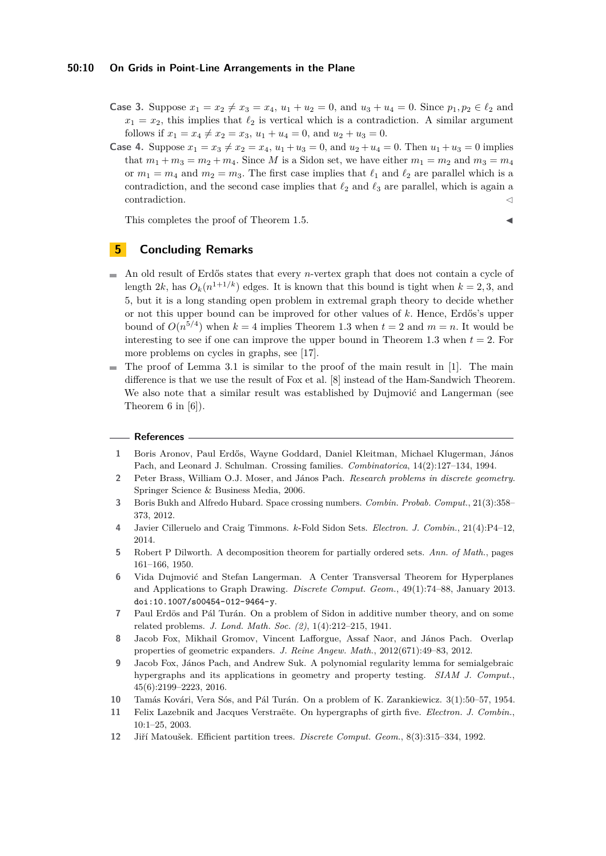#### **50:10 On Grids in Point-Line Arrangements in the Plane**

- **Case 3.** Suppose  $x_1 = x_2 \neq x_3 = x_4$ ,  $u_1 + u_2 = 0$ , and  $u_3 + u_4 = 0$ . Since  $p_1, p_2 \in \ell_2$  and  $x_1 = x_2$ , this implies that  $\ell_2$  is vertical which is a contradiction. A similar argument follows if  $x_1 = x_4 \neq x_2 = x_3$ ,  $u_1 + u_4 = 0$ , and  $u_2 + u_3 = 0$ .
- **Case 4.** Suppose  $x_1 = x_3 \neq x_2 = x_4, u_1 + u_3 = 0$ , and  $u_2 + u_4 = 0$ . Then  $u_1 + u_3 = 0$  implies that  $m_1 + m_3 = m_2 + m_4$ . Since M is a Sidon set, we have either  $m_1 = m_2$  and  $m_3 = m_4$ or  $m_1 = m_4$  and  $m_2 = m_3$ . The first case implies that  $\ell_1$  and  $\ell_2$  are parallel which is a contradiction, and the second case implies that  $\ell_2$  and  $\ell_3$  are parallel, which is again a  $\alpha$  contradiction.

This completes the proof of Theorem [1.5.](#page-1-5)

# **5 Concluding Remarks**

- $\bar{a}$ An old result of Erdős states that every *n*-vertex graph that does not contain a cycle of length  $2k$ , has  $O_k(n^{1+1/k})$  edges. It is known that this bound is tight when  $k = 2, 3$ , and 5, but it is a long standing open problem in extremal graph theory to decide whether or not this upper bound can be improved for other values of *k.* Hence, Erdős's upper bound of  $O(n^{5/4})$  when  $k = 4$  implies Theorem [1.3](#page-1-0) when  $t = 2$  and  $m = n$ . It would be interesting to see if one can improve the upper bound in Theorem [1.3](#page-1-0) when  $t = 2$ . For more problems on cycles in graphs, see [\[17\]](#page-10-5).
- The proof of Lemma [3.1](#page-4-0) is similar to the proof of the main result in [\[1\]](#page-9-10). The main  $\sim$ difference is that we use the result of Fox et al. [\[8\]](#page-9-6) instead of the Ham-Sandwich Theorem. We also note that a similar result was established by Dujmović and Langerman (see Theorem 6 in [\[6\]](#page-9-11)).

#### **References**

- <span id="page-9-10"></span>**1** Boris Aronov, Paul Erdős, Wayne Goddard, Daniel Kleitman, Michael Klugerman, János Pach, and Leonard J. Schulman. Crossing families. *Combinatorica*, 14(2):127–134, 1994.
- <span id="page-9-0"></span>**2** Peter Brass, William O.J. Moser, and János Pach. *Research problems in discrete geometry*. Springer Science & Business Media, 2006.
- <span id="page-9-4"></span>**3** Boris Bukh and Alfredo Hubard. Space crossing numbers. *Combin. Probab. Comput.*, 21(3):358– 373, 2012.
- <span id="page-9-9"></span>**4** Javier Cilleruelo and Craig Timmons. *k*-Fold Sidon Sets. *Electron. J. Combin.*, 21(4):P4–12, 2014.
- <span id="page-9-3"></span>**5** Robert P Dilworth. A decomposition theorem for partially ordered sets. *Ann. of Math.*, pages 161–166, 1950.
- <span id="page-9-11"></span>**6** Vida Dujmović and Stefan Langerman. A Center Transversal Theorem for Hyperplanes and Applications to Graph Drawing. *Discrete Comput. Geom.*, 49(1):74–88, January 2013. [doi:10.1007/s00454-012-9464-y](http://dx.doi.org/10.1007/s00454-012-9464-y).
- <span id="page-9-7"></span>**7** Paul Erdös and Pál Turán. On a problem of Sidon in additive number theory, and on some related problems. *J. Lond. Math. Soc. (2)*, 1(4):212–215, 1941.
- <span id="page-9-6"></span>**8** Jacob Fox, Mikhail Gromov, Vincent Lafforgue, Assaf Naor, and János Pach. Overlap properties of geometric expanders. *J. Reine Angew. Math.*, 2012(671):49–83, 2012.
- <span id="page-9-5"></span>**9** Jacob Fox, János Pach, and Andrew Suk. A polynomial regularity lemma for semialgebraic hypergraphs and its applications in geometry and property testing. *SIAM J. Comput.*, 45(6):2199–2223, 2016.
- <span id="page-9-1"></span>**10** Tamás Kovári, Vera Sós, and Pál Turán. On a problem of K. Zarankiewicz. 3(1):50–57, 1954.
- <span id="page-9-8"></span>**11** Felix Lazebnik and Jacques Verstraëte. On hypergraphs of girth five. *Electron. J. Combin.*, 10:1–25, 2003.
- <span id="page-9-2"></span>**12** Jiří Matoušek. Efficient partition trees. *Discrete Comput. Geom.*, 8(3):315–334, 1992.